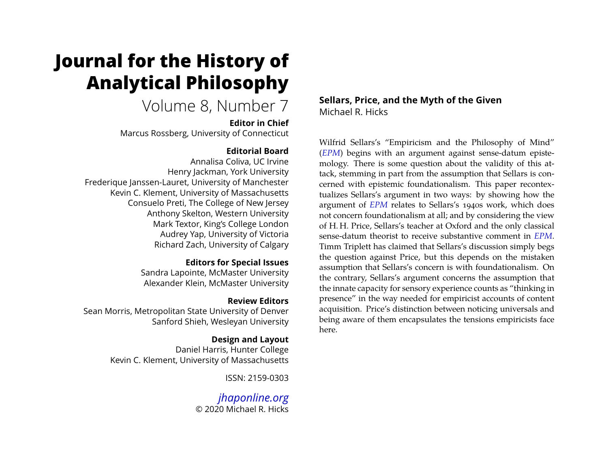# **Journal for the History of Analytical Philosophy**

# Volume 8, Number 7

**Editor in Chief**

Marcus Rossberg, University of Connecticut

# **Editorial Board**

Annalisa Coliva, UC Irvine Henry Jackman, York University Frederique Janssen-Lauret, University of Manchester Kevin C. Klement, University of Massachusetts Consuelo Preti, The College of New Jersey Anthony Skelton, Western University Mark Textor, King's College London Audrey Yap, University of Victoria Richard Zach, University of Calgary

# **Editors for Special Issues**

Sandra Lapointe, McMaster University Alexander Klein, McMaster University

# **Review Editors**

Sean Morris, Metropolitan State University of Denver Sanford Shieh, Wesleyan University

# **Design and Layout**

Daniel Harris, Hunter College Kevin C. Klement, University of Massachusetts

ISSN: 2159-0303

*[jhaponline.org](https://jhaponline.org)* © 2020 Michael R. Hicks

# **Sellars, Price, and the Myth of the Given** Michael R. Hicks

Wilfrid Sellars's "Empiricism and the Philosophy of Mind" (*[EPM](#page-16-0)*) begins with an argument against sense-datum epistemology. There is some question about the validity of this attack, stemming in part from the assumption that Sellars is concerned with epistemic foundationalism. This paper recontextualizes Sellars's argument in two ways: by showing how the argument of *[EPM](#page-16-0)* relates to Sellars's 1940s work, which does not concern foundationalism at all; and by considering the view of H. H. Price, Sellars's teacher at Oxford and the only classical sense-datum theorist to receive substantive comment in *[EPM](#page-16-0)*. Timm Triplett has claimed that Sellars's discussion simply begs the question against Price, but this depends on the mistaken assumption that Sellars's concern is with foundationalism. On the contrary, Sellars's argument concerns the assumption that the innate capacity for sensory experience counts as "thinking in presence" in the way needed for empiricist accounts of content acquisition. Price's distinction between noticing universals and being aware of them encapsulates the tensions empiricists face here.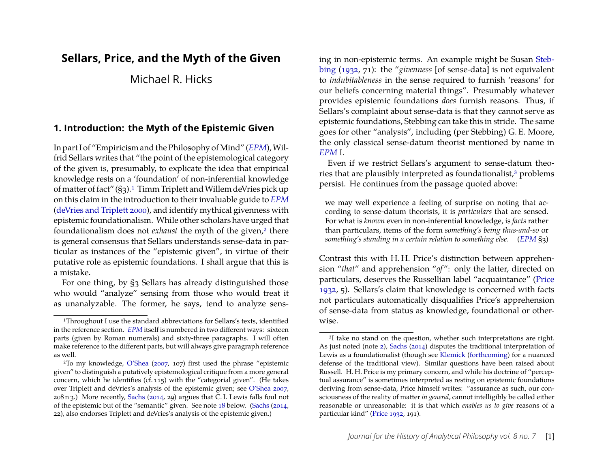# **Sellars, Price, and the Myth of the Given**

Michael R. Hicks

#### <span id="page-1-3"></span>**1. Introduction: the Myth of the Epistemic Given**

In part I of "Empiricism and the Philosophy of Mind" (*[EPM](#page-16-0)*), Wilfrid Sellars writes that "the point of the epistemological category of the given is, presumably, to explicate the idea that empirical knowledge rests on a 'foundation' of non-inferential knowledge of matter of fact"  $(S_3)$ .<sup>[1](#page-1-0)</sup> Timm Triplett and Willem deVries pick up on this claim in the introduction to their invaluable guide to *[EPM](#page-16-0)* [\(deVries and Triplett 2000\)](#page-15-0), and identify mythical givenness with epistemic foundationalism. While other scholars have urged that foundationalism does not *exhaust* the myth of the given,<sup>[2](#page-1-1)</sup> there is general consensus that Sellars understands sense-data in particular as instances of the "epistemic given", in virtue of their putative role as epistemic foundations. I shall argue that this is a mistake.

For one thing, by §3 Sellars has already distinguished those who would "analyze" sensing from those who would treat it as unanalyzable. The former, he says, tend to analyze sensing in non-epistemic terms. An example might be Susan [Steb](#page-16-2)[bing](#page-16-2) [\(1932,](#page-16-2) 71): the "*givenness* [of sense-data] is not equivalent to *indubitableness* in the sense required to furnish 'reasons' for our beliefs concerning material things". Presumably whatever provides epistemic foundations *does* furnish reasons. Thus, if Sellars's complaint about sense-data is that they cannot serve as epistemic foundations, Stebbing can take this in stride. The same goes for other "analysts", including (per Stebbing) G. E. Moore, the only classical sense-datum theorist mentioned by name in *[EPM](#page-16-0)* I.

Even if we restrict Sellars's argument to sense-datum theories that are plausibly interpreted as foundationalist,[3](#page-1-2) problems persist. He continues from the passage quoted above:

we may well experience a feeling of surprise on noting that according to sense-datum theorists, it is *particulars* that are sensed. For what is *known* even in non-inferential knowledge, is *facts* rather than particulars, items of the form *something's being thus-and-so* or *something's standing in a certain relation to something else*. (*[EPM](#page-16-0)* §3)

Contrast this with H. H. Price's distinction between apprehension "*that*" and apprehension "*of* ": only the latter, directed on particulars, deserves the Russellian label "acquaintance" [\(Price](#page-16-3) [1932,](#page-16-3) 5). Sellars's claim that knowledge is concerned with facts not particulars automatically disqualifies Price's apprehension of sense-data from status as knowledge, foundational or otherwise.

<span id="page-1-0"></span><sup>1</sup>Throughout I use the standard abbreviations for Sellars's texts, identified in the reference section. *[EPM](#page-16-0)* itself is numbered in two different ways: sixteen parts (given by Roman numerals) and sixty-three paragraphs. I will often make reference to the different parts, but will always give paragraph reference as well.

<span id="page-1-1"></span><sup>2</sup>To my knowledge, [O'Shea](#page-15-1) [\(2007,](#page-15-1) 107) first used the phrase "epistemic given" to distinguish a putatively epistemological critique from a more general concern, which he identifies (cf. 115) with the "categorial given". (He takes over Triplett and deVries's analysis of the epistemic given; see [O'Shea 2007,](#page-15-1) 208 n 3.) More recently, [Sachs](#page-16-1) [\(2014,](#page-16-1) 29) argues that C. I. Lewis falls foul not of the epistemic but of the "semantic" given. See note [18](#page-10-0) below. [\(Sachs](#page-16-1) [\(2014,](#page-16-1) 22), also endorses Triplett and deVries's analysis of the epistemic given.)

<span id="page-1-2"></span><sup>&</sup>lt;sup>3</sup>I take no stand on the question, whether such interpretations are right. As just noted (note [2\)](#page-1-1), [Sachs](#page-16-1) [\(2014\)](#page-16-1) disputes the traditional interpretation of Lewis as a foundationalist (though see [Klemick](#page-15-2) [\(forthcoming\)](#page-15-2) for a nuanced defense of the traditional view). Similar questions have been raised about Russell. H. H. Price is my primary concern, and while his doctrine of "perceptual assurance" is sometimes interpreted as resting on epistemic foundations deriving from sense-data, Price himself writes: "assurance as such, our consciousness of the reality of matter *in general*, cannot intelligibly be called either reasonable or unreasonable: it is that which *enables us to give* reasons of a particular kind" [\(Price 1932,](#page-16-3) 191).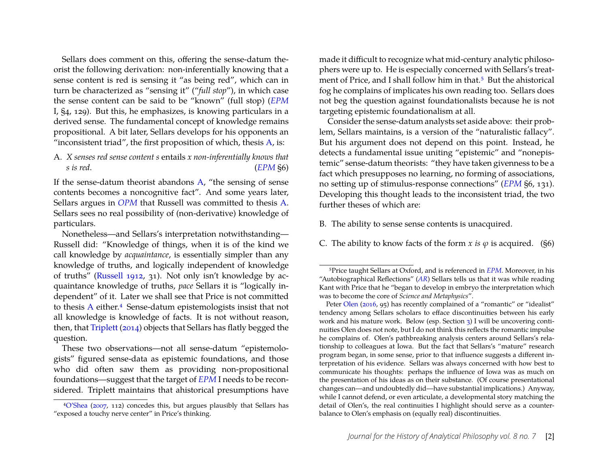Sellars does comment on this, offering the sense-datum theorist the following derivation: non-inferentially knowing that a sense content is red is sensing it "as being red", which can in turn be characterized as "sensing it" ("*full stop*"), in which case the sense content can be said to be "known" (full stop) (*[EPM](#page-16-0)* I, §4, 129). But this, he emphasizes, is knowing particulars in a derived sense. The fundamental concept of knowledge remains propositional. A bit later, Sellars develops for his opponents an "inconsistent triad", the first proposition of which, thesis [A,](#page-1-3) is:

#### A. *X senses red sense content s* entails *x non-inferentially knows that s is red*. (*[EPM](#page-16-0)* §6)

If the sense-datum theorist abandons [A,](#page-1-3) "the sensing of sense contents becomes a noncognitive fact". And some years later, Sellars argues in *[OPM](#page-16-4)* that Russell was committed to thesis [A.](#page-1-3) Sellars sees no real possibility of (non-derivative) knowledge of particulars.

Nonetheless—and Sellars's interpretation notwithstanding— Russell did: "Knowledge of things, when it is of the kind we call knowledge by *acquaintance*, is essentially simpler than any knowledge of truths, and logically independent of knowledge of truths" [\(Russell 1912,](#page-16-5) 31). Not only isn't knowledge by acquaintance knowledge of truths, *pace* Sellars it is "logically independent" of it. Later we shall see that Price is not committed to thesis [A](#page-1-3) either.<sup>[4](#page-2-0)</sup> Sense-datum epistemologists insist that not all knowledge is knowledge of facts. It is not without reason, then, that [Triplett](#page-16-6) [\(2014\)](#page-16-6) objects that Sellars has flatly begged the question.

These two observations—not all sense-datum "epistemologists" figured sense-data as epistemic foundations, and those who did often saw them as providing non-propositional foundations—suggest that the target of *[EPM](#page-16-0)* I needs to be reconsidered. Triplett maintains that ahistorical presumptions have

made it difficult to recognize what mid-century analytic philosophers were up to. He is especially concerned with Sellars's treat-ment of Price, and I shall follow him in that.<sup>[5](#page-2-1)</sup> But the ahistorical fog he complains of implicates his own reading too. Sellars does not beg the question against foundationalists because he is not targeting epistemic foundationalism at all.

Consider the sense-datum analysts set aside above: their problem, Sellars maintains, is a version of the "naturalistic fallacy". But his argument does not depend on this point. Instead, he detects a fundamental issue uniting "epistemic" and "nonepistemic" sense-datum theorists: "they have taken givenness to be a fact which presupposes no learning, no forming of associations, no setting up of stimulus-response connections" (*[EPM](#page-16-0)* §6, 131). Developing this thought leads to the inconsistent triad, the two further theses of which are:

B. The ability to sense sense contents is unacquired.

C. The ability to know facts of the form  $x$  *is*  $\varphi$  is acquired. (§6)

<span id="page-2-0"></span><sup>4</sup>[O'Shea](#page-15-1) [\(2007,](#page-15-1) 112) concedes this, but argues plausibly that Sellars has "exposed a touchy nerve center" in Price's thinking.

<span id="page-2-1"></span><sup>5</sup>Price taught Sellars at Oxford, and is referenced in *[EPM](#page-16-0)*. Moreover, in his "Autobiographical Reflections" (*[AR](#page-16-7)*) Sellars tells us that it was while reading Kant with Price that he "began to develop in embryo the interpretation which was to become the core of *Science and Metaphysics*".

Peter [Olen](#page-15-3) [\(2016,](#page-15-3) 95) has recently complained of a "romantic" or "idealist" tendency among Sellars scholars to efface discontinuities between his early work and his mature work. Below (esp. Section [3\)](#page-5-0) I will be uncovering continuities Olen does not note, but I do not think this reflects the romantic impulse he complains of. Olen's pathbreaking analysis centers around Sellars's relationship to colleagues at Iowa. But the fact that Sellars's "mature" research program began, in some sense, prior to that influence suggests a different interpretation of his evidence. Sellars was always concerned with how best to communicate his thoughts: perhaps the influence of Iowa was as much on the presentation of his ideas as on their substance. (Of course presentational changes can—and undoubtedly did—have substantial implications.) Anyway, while I cannot defend, or even articulate, a developmental story matching the detail of Olen's, the real continuities I highlight should serve as a counterbalance to Olen's emphasis on (equally real) discontinuities.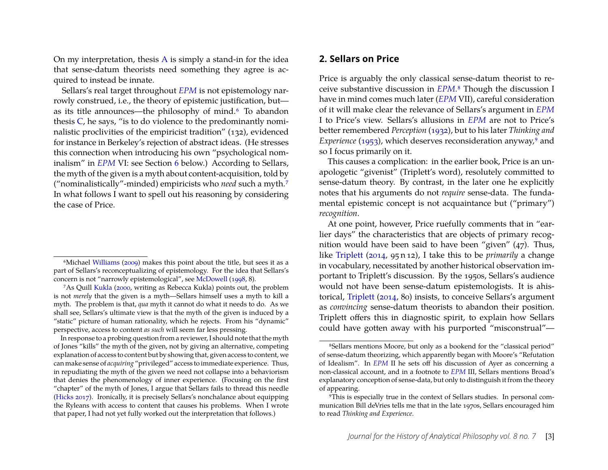On my interpretation, thesis [A](#page-1-3) is simply a stand-in for the idea that sense-datum theorists need something they agree is acquired to instead be innate.

Sellars's real target throughout *[EPM](#page-16-0)* is not epistemology narrowly construed, i.e., the theory of epistemic justification, but— as its title announces—the philosophy of mind.<sup>[6](#page-3-0)</sup> To abandon thesis [C,](#page-1-3) he says, "is to do violence to the predominantly nominalistic proclivities of the empiricist tradition" (132), evidenced for instance in Berkeley's rejection of abstract ideas. (He stresses this connection when introducing his own "psychological nominalism" in *[EPM](#page-16-0)* VI: see Section [6](#page-10-1) below.) According to Sellars, the myth of the given is a myth about content-acquisition, told by ("nominalistically"-minded) empiricists who *need* such a myth.[7](#page-3-1) In what follows I want to spell out his reasoning by considering the case of Price.

In response to a probing question from a reviewer, I should note that the myth of Jones "kills" the myth of the given, not by giving an alternative, competing explanation of access to content but by showing that, given access to content, we can make sense of *acquiring* "privileged" access to immediate experience. Thus, in repudiating the myth of the given we need not collapse into a behaviorism that denies the phenomenology of inner experience. (Focusing on the first "chapter" of the myth of Jones, I argue that Sellars fails to thread this needle [\(Hicks 2017\)](#page-15-6). Ironically, it is precisely Sellars's nonchalance about equipping the Ryleans with access to content that causes his problems. When I wrote that paper, I had not yet fully worked out the interpretation that follows.)

#### **2. Sellars on Price**

Price is arguably the only classical sense-datum theorist to receive substantive discussion in *[EPM](#page-16-0)*.[8](#page-3-2) Though the discussion I have in mind comes much later (*[EPM](#page-16-0)* VII), careful consideration of it will make clear the relevance of Sellars's argument in *[EPM](#page-16-0)* I to Price's view. Sellars's allusions in *[EPM](#page-16-0)* are not to Price's better remembered *Perception* [\(1932\)](#page-16-3), but to his later *Thinking and Experience* [\(1953\)](#page-16-9), which deserves reconsideration anyway,<sup>[9](#page-3-3)</sup> and so I focus primarily on it.

This causes a complication: in the earlier book, Price is an unapologetic "givenist" (Triplett's word), resolutely committed to sense-datum theory. By contrast, in the later one he explicitly notes that his arguments do not *require* sense-data. The fundamental epistemic concept is not acquaintance but ("primary") *recognition*.

At one point, however, Price ruefully comments that in "earlier days" the characteristics that are objects of primary recognition would have been said to have been "given" (47). Thus, like [Triplett](#page-16-6) [\(2014,](#page-16-6) 95 n 12), I take this to be *primarily* a change in vocabulary, necessitated by another historical observation important to Triplett's discussion. By the 1950s, Sellars's audience would not have been sense-datum epistemologists. It is ahistorical, [Triplett](#page-16-6) [\(2014,](#page-16-6) 80) insists, to conceive Sellars's argument as *convincing* sense-datum theorists to abandon their position. Triplett offers this in diagnostic spirit, to explain how Sellars could have gotten away with his purported "misconstrual"—

<span id="page-3-0"></span><sup>&</sup>lt;sup>6</sup>Michael [Williams](#page-16-8) [\(2009\)](#page-16-8) makes this point about the title, but sees it as a part of Sellars's reconceptualizing of epistemology. For the idea that Sellars's concern is not "narrowly epistemological", see [McDowell](#page-15-4) [\(1998,](#page-15-4) 8).

<span id="page-3-1"></span><sup>7</sup>As Quill [Kukla](#page-15-5) [\(2000,](#page-15-5) writing as Rebecca Kukla) points out, the problem is not *merely* that the given is a myth—Sellars himself uses a myth to kill a myth. The problem is that, *qua* myth it cannot do what it needs to do. As we shall see, Sellars's ultimate view is that the myth of the given is induced by a "static" picture of human rationality, which he rejects. From his "dynamic" perspective, access to content *as such* will seem far less pressing.

<span id="page-3-2"></span><sup>8</sup>Sellars mentions Moore, but only as a bookend for the "classical period" of sense-datum theorizing, which apparently began with Moore's "Refutation of Idealism". In *[EPM](#page-16-0)* II he sets off his discussion of Ayer as concerning a non-classical account, and in a footnote to *[EPM](#page-16-0)* III, Sellars mentions Broad's explanatory conception of sense-data, but only to distinguish it from the theory of appearing.

<span id="page-3-3"></span><sup>9</sup>This is especially true in the context of Sellars studies. In personal communication Bill deVries tells me that in the late 1970s, Sellars encouraged him to read *Thinking and Experience*.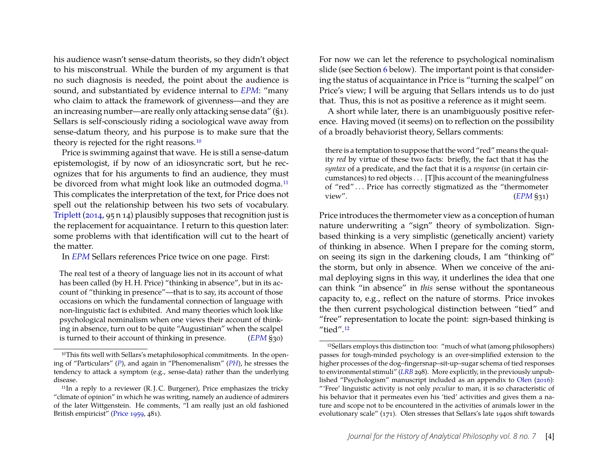his audience wasn't sense-datum theorists, so they didn't object to his misconstrual. While the burden of my argument is that no such diagnosis is needed, the point about the audience is sound, and substantiated by evidence internal to *[EPM](#page-16-0)*: "many who claim to attack the framework of givenness—and they are an increasing number—are really only attacking sense data" (§1). Sellars is self-consciously riding a sociological wave away from sense-datum theory, and his purpose is to make sure that the theory is rejected for the right reasons.<sup>[10](#page-4-0)</sup>

Price is swimming against that wave. He is still a sense-datum epistemologist, if by now of an idiosyncratic sort, but he recognizes that for his arguments to find an audience, they must be divorced from what might look like an outmoded dogma.<sup>[11](#page-4-1)</sup> This complicates the interpretation of the text, for Price does not spell out the relationship between his two sets of vocabulary. [Triplett](#page-16-6) [\(2014,](#page-16-6) 95 n 14) plausibly supposes that recognition just is the replacement for acquaintance. I return to this question later: some problems with that identification will cut to the heart of the matter.

In *[EPM](#page-16-0)* Sellars references Price twice on one page. First:

The real test of a theory of language lies not in its account of what has been called (by H. H. Price) "thinking in absence", but in its account of "thinking in presence"—that is to say, its account of those occasions on which the fundamental connection of language with non-linguistic fact is exhibited. And many theories which look like psychological nominalism when one views their account of thinking in absence, turn out to be quite "Augustinian" when the scalpel is turned to their account of thinking in presence. (*[EPM](#page-16-0)* §30)

For now we can let the reference to psychological nominalism slide (see Section [6](#page-10-1) below). The important point is that considering the status of acquaintance in Price is "turning the scalpel" on Price's view; I will be arguing that Sellars intends us to do just that. Thus, this is not as positive a reference as it might seem.

A short while later, there is an unambiguously positive reference. Having moved (it seems) on to reflection on the possibility of a broadly behaviorist theory, Sellars comments:

there is a temptation to suppose that the word "red" means the quality *red* by virtue of these two facts: briefly, the fact that it has the *syntax* of a predicate, and the fact that it is a *response* (in certain circumstances) to red objects . . . [T]his account of the meaningfulness of "red"... Price has correctly stigmatized as the "thermometer view". (*[EPM](#page-16-0)* §31)

Price introduces the thermometer view as a conception of human nature underwriting a "sign" theory of symbolization. Signbased thinking is a very simplistic (genetically ancient) variety of thinking in absence. When I prepare for the coming storm, on seeing its sign in the darkening clouds, I am "thinking of" the storm, but only in absence. When we conceive of the animal deploying signs in this way, it underlines the idea that one can think "in absence" in *this* sense without the spontaneous capacity to, e.g., reflect on the nature of storms. Price invokes the then current psychological distinction between "tied" and "free" representation to locate the point: sign-based thinking is " $tied$ ". $12$ 

<span id="page-4-0"></span><sup>&</sup>lt;sup>10</sup>This fits well with Sellars's metaphilosophical commitments. In the opening of "Particulars" (*[P](#page-16-10)*), and again in "Phenomenalism" (*[PH](#page-16-11)*), he stresses the tendency to attack a symptom (e.g., sense-data) rather than the underlying disease.

<span id="page-4-1"></span> $11$ In a reply to a reviewer (R.J.C. Burgener), Price emphasizes the tricky "climate of opinion" in which he was writing, namely an audience of admirers of the later Wittgenstein. He comments, "I am really just an old fashioned British empiricist" [\(Price 1959,](#page-16-12) 481).

<span id="page-4-2"></span><sup>12</sup>Sellars employs this distinction too: "much of what (among philosophers) passes for tough-minded psychology is an over-simplified extension to the higher processes of the dog–fingersnap–sit-up–sugar schema of tied responses to environmental stimuli" (*[LRB](#page-16-13)* 298). More explicitly, in the previously unpublished "Psychologism" manuscript included as an appendix to [Olen](#page-15-3) [\(2016\)](#page-15-3): "'Free' linguistic activity is not only *peculiar* to man, it is so characteristic of his behavior that it permeates even his 'tied' activities and gives them a nature and scope not to be encountered in the activities of animals lower in the evolutionary scale" (171). Olen stresses that Sellars's late 1940s shift towards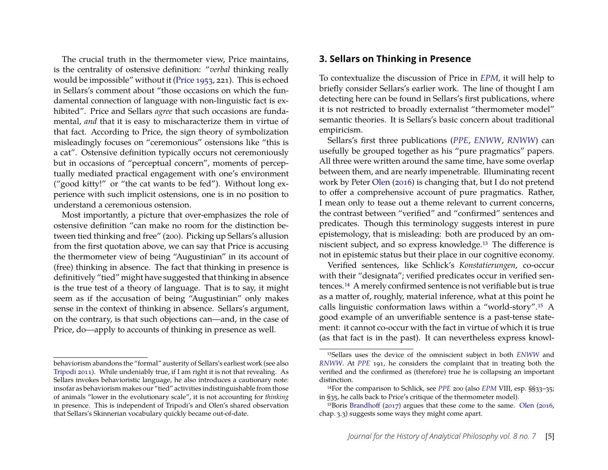The crucial truth in the thermometer view, Price maintains, is the centrality of ostensive definition: "*verbal* thinking really would be impossible" without it [\(Price 1953,](#page-16-9) 221). This is echoed in Sellars's comment about "those occasions on which the fundamental connection of language with non-linguistic fact is exhibited". Price and Sellars *agree* that such occasions are fundamental, *and* that it is easy to mischaracterize them in virtue of that fact. According to Price, the sign theory of symbolization misleadingly focuses on "ceremonious" ostensions like "this is a cat". Ostensive definition typically occurs not ceremoniously but in occasions of "perceptual concern", moments of perceptually mediated practical engagement with one's environment ("good kitty!" or "the cat wants to be fed"). Without long experience with such implicit ostensions, one is in no position to understand a ceremonious ostension.

Most importantly, a picture that over-emphasizes the role of ostensive definition "can make no room for the distinction between tied thinking and free" (200). Picking up Sellars's allusion from the first quotation above, we can say that Price is accusing the thermometer view of being "Augustinian" in its account of (free) thinking in absence. The fact that thinking in presence is definitively "tied" might have suggested that thinking in absence is the true test of a theory of language. That is to say, it might seem as if the accusation of being "Augustinian" only makes sense in the context of thinking in absence. Sellars's argument, on the contrary, is that such objections can—and, in the case of Price, do—apply to accounts of thinking in presence as well.

#### <span id="page-5-0"></span>**3. Sellars on Thinking in Presence**

To contextualize the discussion of Price in *[EPM](#page-16-0)*, it will help to briefly consider Sellars's earlier work. The line of thought I am detecting here can be found in Sellars's first publications, where it is not restricted to broadly externalist "thermometer model" semantic theories. It is Sellars's basic concern about traditional empiricism.

Sellars's first three publications (*[PPE](#page-16-15)*, *[ENWW](#page-16-16)*, *[RNWW](#page-16-17)*) can usefully be grouped together as his "pure pragmatics" papers. All three were written around the same time, have some overlap between them, and are nearly impenetrable. Illuminating recent work by Peter [Olen](#page-15-3) [\(2016\)](#page-15-3) is changing that, but I do not pretend to offer a comprehensive account of pure pragmatics. Rather, I mean only to tease out a theme relevant to current concerns, the contrast between "verified" and "confirmed" sentences and predicates. Though this terminology suggests interest in pure epistemology, that is misleading: both are produced by an omniscient subject, and so express knowledge.[13](#page-5-1) The difference is not in epistemic status but their place in our cognitive economy.

Verified sentences, like Schlick's *Konstatierungen*, co-occur with their "designata"; verified predicates occur in verified sentences.[14](#page-5-2) A merely confirmed sentence is not verifiable but is true as a matter of, roughly, material inference, what at this point he calls linguistic conformation laws within a "world-story".[15](#page-5-3) A good example of an unverifiable sentence is a past-tense statement: it cannot co-occur with the fact in virtue of which it is true (as that fact is in the past). It can nevertheless express knowl-

behaviorism abandons the "formal" austerity of Sellars's earliest work (see also [Tripodi 2011\)](#page-16-14). While undeniably true, if I am right it is not that revealing. As Sellars invokes behavioristic language, he also introduces a cautionary note: insofar as behaviorism makes our "tied" activities indistinguishable from those of animals "lower in the evolutionary scale", it is not accounting for *thinking* in presence. This is independent of Tripodi's and Olen's shared observation that Sellars's Skinnerian vocabulary quickly became out-of-date.

<span id="page-5-1"></span><sup>13</sup>Sellars uses the device of the omniscient subject in both *[ENWW](#page-16-16)* and *[RNWW](#page-16-17)*. At *[PPE](#page-16-15)* 191, he considers the complaint that in treating both the verified and the confirmed as (therefore) true he is collapsing an important distinction.

<span id="page-5-2"></span><sup>14</sup>For the comparison to Schlick, see *[PPE](#page-16-15)* 200 (also *[EPM](#page-16-0)* VIII, esp. §§33–35; in §35, he calls back to Price's critique of the thermometer model).

<span id="page-5-3"></span><sup>&</sup>lt;sup>15</sup>Boris [Brandhoff](#page-15-7) [\(2017\)](#page-15-7) argues that these come to the same. [Olen](#page-15-3) [\(2016,](#page-15-3) chap. 3.3) suggests some ways they might come apart.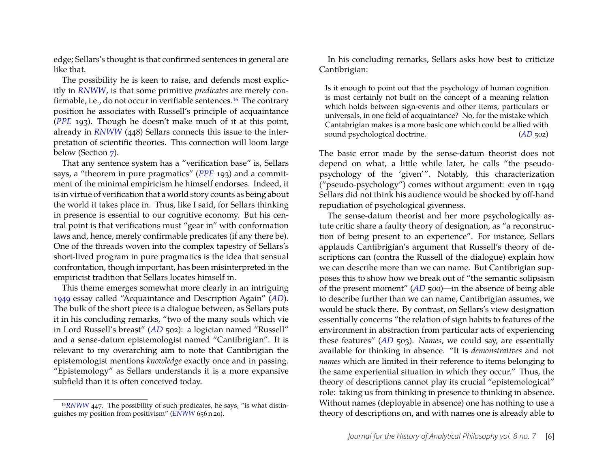edge; Sellars's thought is that confirmed sentences in general are like that.

The possibility he is keen to raise, and defends most explicitly in *[RNWW](#page-16-17)*, is that some primitive *predicates* are merely con-firmable, i.e., do not occur in verifiable sentences.<sup>[16](#page-6-0)</sup> The contrary position he associates with Russell's principle of acquaintance (*[PPE](#page-16-15)* 193). Though he doesn't make much of it at this point, already in *[RNWW](#page-16-17)* (448) Sellars connects this issue to the interpretation of scientific theories. This connection will loom large below (Section [7\)](#page-11-0).

That any sentence system has a "verification base" is, Sellars says, a "theorem in pure pragmatics" (*[PPE](#page-16-15)* 193) and a commitment of the minimal empiricism he himself endorses. Indeed, it is in virtue of verification that a world story counts as being about the world it takes place in. Thus, like I said, for Sellars thinking in presence is essential to our cognitive economy. But his central point is that verifications must "gear in" with conformation laws and, hence, merely confirmable predicates (if any there be). One of the threads woven into the complex tapestry of Sellars's short-lived program in pure pragmatics is the idea that sensual confrontation, though important, has been misinterpreted in the empiricist tradition that Sellars locates himself in.

This theme emerges somewhat more clearly in an intriguing [1949](#page-16-18) essay called "Acquaintance and Description Again" (*[AD](#page-16-18)*). The bulk of the short piece is a dialogue between, as Sellars puts it in his concluding remarks, "two of the many souls which vie in Lord Russell's breast" (*[AD](#page-16-18)* 502): a logician named "Russell" and a sense-datum epistemologist named "Cantibrigian". It is relevant to my overarching aim to note that Cantibrigian the epistemologist mentions *knowledge* exactly once and in passing. "Epistemology" as Sellars understands it is a more expansive subfield than it is often conceived today.

In his concluding remarks, Sellars asks how best to criticize Cantibrigian:

Is it enough to point out that the psychology of human cognition is most certainly not built on the concept of a meaning relation which holds between sign-events and other items, particulars or universals, in one field of acquaintance? No, for the mistake which Cantabrigian makes is a more basic one which could be allied with sound psychological doctrine. (*[AD](#page-16-18)* 502)

The basic error made by the sense-datum theorist does not depend on what, a little while later, he calls "the pseudopsychology of the 'given'". Notably, this characterization ("pseudo-psychology") comes without argument: even in 1949 Sellars did not think his audience would be shocked by off-hand repudiation of psychological givenness.

The sense-datum theorist and her more psychologically astute critic share a faulty theory of designation, as "a reconstruction of being present to an experience". For instance, Sellars applauds Cantibrigian's argument that Russell's theory of descriptions can (contra the Russell of the dialogue) explain how we can describe more than we can name. But Cantibrigian supposes this to show how we break out of "the semantic solipsism of the present moment" (*[AD](#page-16-18)* 500)—in the absence of being able to describe further than we can name, Cantibrigian assumes, we would be stuck there. By contrast, on Sellars's view designation essentially concerns "the relation of sign habits to features of the environment in abstraction from particular acts of experiencing these features" (*[AD](#page-16-18)* 503). *Names*, we could say, are essentially available for thinking in absence. "It is *demonstratives* and not *names* which are limited in their reference to items belonging to the same experiential situation in which they occur." Thus, the theory of descriptions cannot play its crucial "epistemological" role: taking us from thinking in presence to thinking in absence. Without names (deployable in absence) one has nothing to use a theory of descriptions on, and with names one is already able to

<span id="page-6-0"></span><sup>&</sup>lt;sup>16</sup>*[RNWW](#page-16-17)* 447. The possibility of such predicates, he says, "is what distinguishes my position from positivism" (*[ENWW](#page-16-16)* 656 n 20).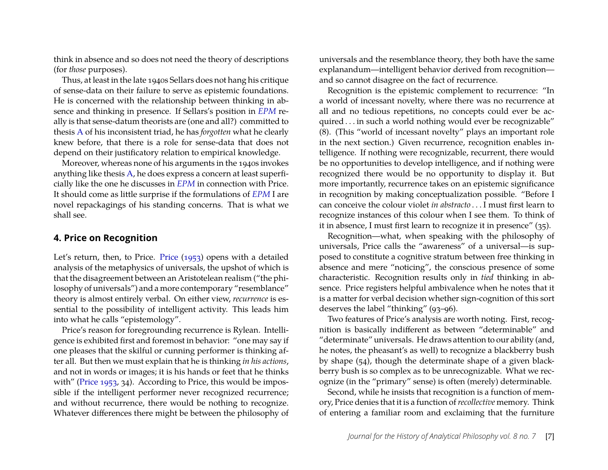think in absence and so does not need the theory of descriptions (for *those* purposes).

Thus, at least in the late 1940s Sellars does not hang his critique of sense-data on their failure to serve as epistemic foundations. He is concerned with the relationship between thinking in absence and thinking in presence. If Sellars's position in *[EPM](#page-16-0)* really is that sense-datum theorists are (one and all?) committed to thesis [A](#page-1-3) of his inconsistent triad, he has *forgotten* what he clearly knew before, that there is a role for sense-data that does not depend on their justificatory relation to empirical knowledge.

Moreover, whereas none of his arguments in the 1940s invokes anything like thesis [A,](#page-1-3) he does express a concern at least superficially like the one he discusses in *[EPM](#page-16-0)* in connection with Price. It should come as little surprise if the formulations of *[EPM](#page-16-0)* I are novel repackagings of his standing concerns. That is what we shall see.

#### **4. Price on Recognition**

Let's return, then, to Price. [Price](#page-16-9) [\(1953\)](#page-16-9) opens with a detailed analysis of the metaphysics of universals, the upshot of which is that the disagreement between an Aristotelean realism ("the philosophy of universals") and a more contemporary "resemblance" theory is almost entirely verbal. On either view, *recurrence* is essential to the possibility of intelligent activity. This leads him into what he calls "epistemology".

Price's reason for foregrounding recurrence is Rylean. Intelligence is exhibited first and foremost in behavior: "one may say if one pleases that the skilful or cunning performer is thinking after all. But then we must explain that he is thinking *in his actions*, and not in words or images; it is his hands or feet that he thinks with" [\(Price 1953,](#page-16-9) 34). According to Price, this would be impossible if the intelligent performer never recognized recurrence; and without recurrence, there would be nothing to recognize. Whatever differences there might be between the philosophy of universals and the resemblance theory, they both have the same explanandum—intelligent behavior derived from recognition and so cannot disagree on the fact of recurrence.

Recognition is the epistemic complement to recurrence: "In a world of incessant novelty, where there was no recurrence at all and no tedious repetitions, no concepts could ever be acquired . . . in such a world nothing would ever be recognizable" (8). (This "world of incessant novelty" plays an important role in the next section.) Given recurrence, recognition enables intelligence. If nothing were recognizable, recurrent, there would be no opportunities to develop intelligence, and if nothing were recognized there would be no opportunity to display it. But more importantly, recurrence takes on an epistemic significance in recognition by making conceptualization possible. "Before I can conceive the colour violet *in abstracto* . . . I must first learn to recognize instances of this colour when I see them. To think of it in absence, I must first learn to recognize it in presence" (35).

Recognition—what, when speaking with the philosophy of universals, Price calls the "awareness" of a universal—is supposed to constitute a cognitive stratum between free thinking in absence and mere "noticing", the conscious presence of some characteristic. Recognition results only in *tied* thinking in absence. Price registers helpful ambivalence when he notes that it is a matter for verbal decision whether sign-cognition of this sort deserves the label "thinking" (93–96).

Two features of Price's analysis are worth noting. First, recognition is basically indifferent as between "determinable" and "determinate" universals. He draws attention to our ability (and, he notes, the pheasant's as well) to recognize a blackberry bush by shape (54), though the determinate shape of a given blackberry bush is so complex as to be unrecognizable. What we recognize (in the "primary" sense) is often (merely) determinable.

Second, while he insists that recognition is a function of memory, Price denies that it is a function of*recollective* memory. Think of entering a familiar room and exclaiming that the furniture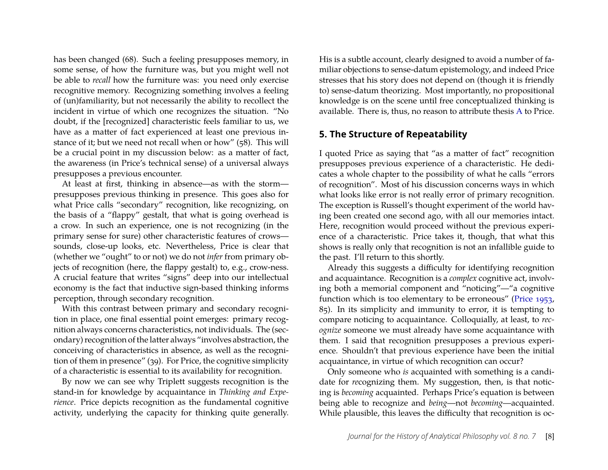has been changed (68). Such a feeling presupposes memory, in some sense, of how the furniture was, but you might well not be able to *recall* how the furniture was: you need only exercise recognitive memory. Recognizing something involves a feeling of (un)familiarity, but not necessarily the ability to recollect the incident in virtue of which one recognizes the situation. "No doubt, if the [recognized] characteristic feels familiar to us, we have as a matter of fact experienced at least one previous instance of it; but we need not recall when or how" (58). This will be a crucial point in my discussion below: as a matter of fact, the awareness (in Price's technical sense) of a universal always presupposes a previous encounter.

At least at first, thinking in absence—as with the storm presupposes previous thinking in presence. This goes also for what Price calls "secondary" recognition, like recognizing, on the basis of a "flappy" gestalt, that what is going overhead is a crow. In such an experience, one is not recognizing (in the primary sense for sure) other characteristic features of crows sounds, close-up looks, etc. Nevertheless, Price is clear that (whether we "ought" to or not) we do not *infer* from primary objects of recognition (here, the flappy gestalt) to, e.g., crow-ness. A crucial feature that writes "signs" deep into our intellectual economy is the fact that inductive sign-based thinking informs perception, through secondary recognition.

With this contrast between primary and secondary recognition in place, one final essential point emerges: primary recognition always concerns characteristics, not individuals. The (secondary) recognition of the latter always "involves abstraction, the conceiving of characteristics in absence, as well as the recognition of them in presence" (39). For Price, the cognitive simplicity of a characteristic is essential to its availability for recognition.

By now we can see why Triplett suggests recognition is the stand-in for knowledge by acquaintance in *Thinking and Experience*. Price depicts recognition as the fundamental cognitive activity, underlying the capacity for thinking quite generally.

His is a subtle account, clearly designed to avoid a number of familiar objections to sense-datum epistemology, and indeed Price stresses that his story does not depend on (though it is friendly to) sense-datum theorizing. Most importantly, no propositional knowledge is on the scene until free conceptualized thinking is available. There is, thus, no reason to attribute thesis [A](#page-1-3) to Price.

# <span id="page-8-0"></span>**5. The Structure of Repeatability**

I quoted Price as saying that "as a matter of fact" recognition presupposes previous experience of a characteristic. He dedicates a whole chapter to the possibility of what he calls "errors of recognition". Most of his discussion concerns ways in which what looks like error is not really error of primary recognition. The exception is Russell's thought experiment of the world having been created one second ago, with all our memories intact. Here, recognition would proceed without the previous experience of a characteristic. Price takes it, though, that what this shows is really only that recognition is not an infallible guide to the past. I'll return to this shortly.

Already this suggests a difficulty for identifying recognition and acquaintance. Recognition is a *complex* cognitive act, involving both a memorial component and "noticing"—"a cognitive function which is too elementary to be erroneous" [\(Price 1953,](#page-16-9) 85). In its simplicity and immunity to error, it is tempting to compare noticing to acquaintance. Colloquially, at least, to *recognize* someone we must already have some acquaintance with them. I said that recognition presupposes a previous experience. Shouldn't that previous experience have been the initial acquaintance, in virtue of which recognition can occur?

Only someone who *is* acquainted with something is a candidate for *re*cognizing them. My suggestion, then, is that noticing is *becoming* acquainted. Perhaps Price's equation is between being able to recognize and *being*—not *becoming*—acquainted. While plausible, this leaves the difficulty that recognition is oc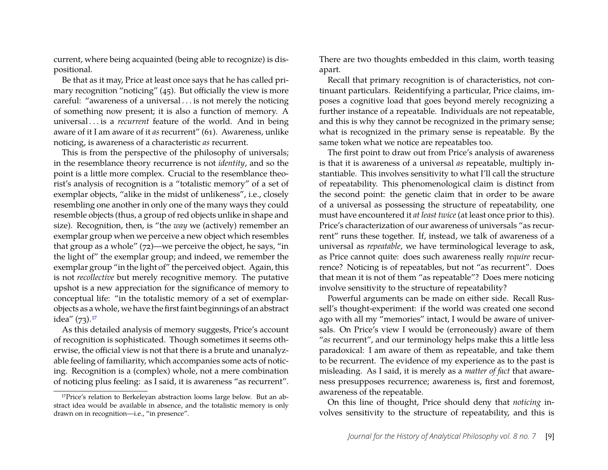current, where being acquainted (being able to recognize) is dispositional.

Be that as it may, Price at least once says that he has called primary recognition "noticing" (45). But officially the view is more careful: "awareness of a universal . . . is not merely the noticing of something now present; it is also a function of memory. A universal . . . is a *recurrent* feature of the world. And in being aware of it I am aware of it *as* recurrent" (61). Awareness, unlike noticing, is awareness of a characteristic *as* recurrent.

This is from the perspective of the philosophy of universals; in the resemblance theory recurrence is not *identity*, and so the point is a little more complex. Crucial to the resemblance theorist's analysis of recognition is a "totalistic memory" of a set of exemplar objects, "alike in the midst of unlikeness", i.e., closely resembling one another in only one of the many ways they could resemble objects (thus, a group of red objects unlike in shape and size). Recognition, then, is "the *way* we (actively) remember an exemplar group when we perceive a new object which resembles that group as a whole" (72)—we perceive the object, he says, "in the light of" the exemplar group; and indeed, we remember the exemplar group "in the light of" the perceived object. Again, this is not *recollective* but merely recognitive memory. The putative upshot is a new appreciation for the significance of memory to conceptual life: "in the totalistic memory of a set of exemplarobjects as a whole, we have the first faint beginnings of an abstract idea" (73).[17](#page-9-0)

As this detailed analysis of memory suggests, Price's account of recognition is sophisticated. Though sometimes it seems otherwise, the official view is not that there is a brute and unanalyzable feeling of familiarity, which accompanies some acts of noticing. Recognition is a (complex) whole, not a mere combination of noticing plus feeling: as I said, it is awareness "as recurrent".

There are two thoughts embedded in this claim, worth teasing apart.

Recall that primary recognition is of characteristics, not continuant particulars. Reidentifying a particular, Price claims, imposes a cognitive load that goes beyond merely recognizing a further instance of a repeatable. Individuals are not repeatable, and this is why they cannot be recognized in the primary sense; what is recognized in the primary sense is repeatable. By the same token what we notice are repeatables too.

The first point to draw out from Price's analysis of awareness is that it is awareness of a universal *as* repeatable, multiply instantiable. This involves sensitivity to what I'll call the structure of repeatability. This phenomenological claim is distinct from the second point: the genetic claim that in order to be aware of a universal as possessing the structure of repeatability, one must have encountered it *at least twice* (at least once prior to this). Price's characterization of our awareness of universals "as recurrent" runs these together. If, instead, we talk of awareness of a universal as *repeatable*, we have terminological leverage to ask, as Price cannot quite: does such awareness really *require* recurrence? Noticing is of repeatables, but not "as recurrent". Does that mean it is not of them "as repeatable"? Does mere noticing involve sensitivity to the structure of repeatability?

Powerful arguments can be made on either side. Recall Russell's thought-experiment: if the world was created one second ago with all my "memories" intact, I would be aware of universals. On Price's view I would be (erroneously) aware of them "*as* recurrent", and our terminology helps make this a little less paradoxical: I am aware of them as repeatable, and take them to be recurrent. The evidence of my experience as to the past is misleading. As I said, it is merely as a *matter of fact* that awareness presupposes recurrence; awareness is, first and foremost, awareness of the repeatable.

On this line of thought, Price should deny that *noticing* involves sensitivity to the structure of repeatability, and this is

<span id="page-9-0"></span><sup>&</sup>lt;sup>17</sup>Price's relation to Berkeleyan abstraction looms large below. But an abstract idea would be available in absence, and the totalistic memory is only drawn on in recognition—i.e., "in presence".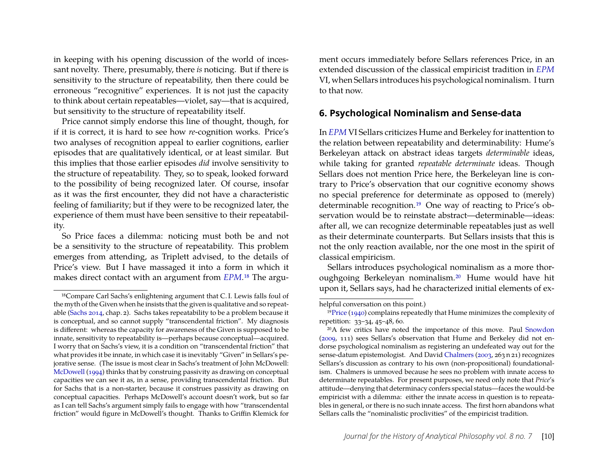in keeping with his opening discussion of the world of incessant novelty. There, presumably, there *is* noticing. But if there is sensitivity to the structure of repeatability, then there could be erroneous "recognitive" experiences. It is not just the capacity to think about certain repeatables—violet, say—that is acquired, but sensitivity to the structure of repeatability itself.

Price cannot simply endorse this line of thought, though, for if it is correct, it is hard to see how *re*-cognition works. Price's two analyses of recognition appeal to earlier cognitions, earlier episodes that are qualitatively identical, or at least similar. But this implies that those earlier episodes *did* involve sensitivity to the structure of repeatability. They, so to speak, looked forward to the possibility of being recognized later. Of course, insofar as it was the first encounter, they did not have a characteristic feeling of familiarity; but if they were to be recognized later, the experience of them must have been sensitive to their repeatability.

So Price faces a dilemma: noticing must both be and not be a sensitivity to the structure of repeatability. This problem emerges from attending, as Triplett advised, to the details of Price's view. But I have massaged it into a form in which it makes direct contact with an argument from *[EPM](#page-16-0)*.[18](#page-10-0) The argument occurs immediately before Sellars references Price, in an extended discussion of the classical empiricist tradition in *[EPM](#page-16-0)* VI, when Sellars introduces his psychological nominalism. I turn to that now.

#### <span id="page-10-1"></span>**6. Psychological Nominalism and Sense-data**

In *[EPM](#page-16-0)* VI Sellars criticizes Hume and Berkeley for inattention to the relation between repeatability and determinability: Hume's Berkeleyan attack on abstract ideas targets *determinable* ideas, while taking for granted *repeatable determinate* ideas. Though Sellars does not mention Price here, the Berkeleyan line is contrary to Price's observation that our cognitive economy shows no special preference for determinate as opposed to (merely) determinable recognition.[19](#page-10-2) One way of reacting to Price's observation would be to reinstate abstract—determinable—ideas: after all, we can recognize determinable repeatables just as well as their determinate counterparts. But Sellars insists that this is not the only reaction available, nor the one most in the spirit of classical empiricism.

Sellars introduces psychological nominalism as a more thoroughgoing Berkeleyan nominalism.[20](#page-10-3) Hume would have hit upon it, Sellars says, had he characterized initial elements of ex-

<span id="page-10-0"></span><sup>18</sup>Compare Carl Sachs's enlightening argument that C. I. Lewis falls foul of the myth of the Given when he insists that the given is qualitative and so repeatable [\(Sachs 2014,](#page-16-1) chap. 2). Sachs takes repeatability to be a problem because it is conceptual, and so cannot supply "transcendental friction". My diagnosis is different: whereas the capacity for awareness of the Given is supposed to be innate, sensitivity to repeatability is—perhaps because conceptual—acquired. I worry that on Sachs's view, it is a condition on "transcendental friction" that what provides it be innate, in which case it is inevitably "Given" in Sellars's pejorative sense. (The issue is most clear in Sachs's treatment of John McDowell: [McDowell](#page-15-8) [\(1994\)](#page-15-8) thinks that by construing passivity as drawing on conceptual capacities we can see it as, in a sense, providing transcendental friction. But for Sachs that is a non-starter, because it construes passivity as drawing on conceptual capacities. Perhaps McDowell's account doesn't work, but so far as I can tell Sachs's argument simply fails to engage with how "transcendental friction" would figure in McDowell's thought. Thanks to Griffin Klemick for

helpful conversation on this point.)

<span id="page-10-2"></span><sup>&</sup>lt;sup>19</sup>[Price](#page-16-19) [\(1940\)](#page-16-19) complains repeatedly that Hume minimizes the complexity of repetition: 33–34, 45–48, 60.

<span id="page-10-3"></span><sup>20</sup>A few critics have noted the importance of this move. Paul [Snowdon](#page-16-20) [\(2009,](#page-16-20) 111) sees Sellars's observation that Hume and Berkeley did not endorse psychological nominalism as registering an undefeated way out for the sense-datum epistemologist. And David [Chalmers](#page-15-9) [\(2003,](#page-15-9) 263 n 21) recognizes Sellars's discussion as contrary to his own (non-propositional) foundationalism. Chalmers is unmoved because he sees no problem with innate access to determinate repeatables. For present purposes, we need only note that *Price*'s attitude—denying that determinacy confers special status—faces the would-be empiricist with a dilemma: either the innate access in question is to repeatables in general, or there is no such innate access. The first horn abandons what Sellars calls the "nominalistic proclivities" of the empiricist tradition.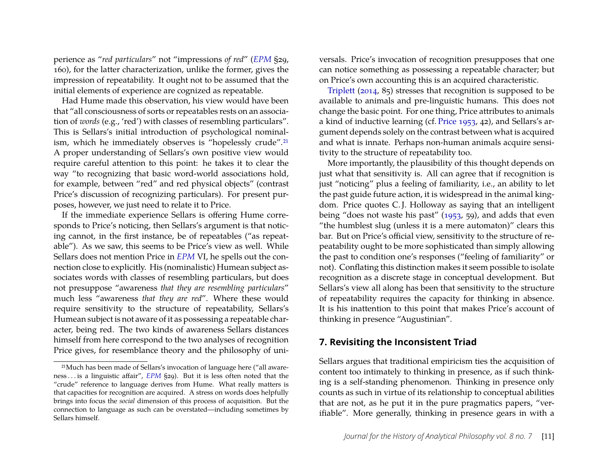perience as "*red particulars*" not "impressions *of red*" (*[EPM](#page-16-0)* §29, 160), for the latter characterization, unlike the former, gives the impression of repeatability. It ought not to be assumed that the initial elements of experience are cognized as repeatable.

Had Hume made this observation, his view would have been that "all consciousness of sorts or repeatables rests on an association of *words* (e.g., 'red') with classes of resembling particulars". This is Sellars's initial introduction of psychological nominal-ism, which he immediately observes is "hopelessly crude".<sup>[21](#page-11-1)</sup> A proper understanding of Sellars's own positive view would require careful attention to this point: he takes it to clear the way "to recognizing that basic word-world associations hold, for example, between "red" and red physical objects" (contrast Price's discussion of recognizing particulars). For present purposes, however, we just need to relate it to Price.

If the immediate experience Sellars is offering Hume corresponds to Price's noticing, then Sellars's argument is that noticing cannot, in the first instance, be of repeatables ("as repeatable"). As we saw, this seems to be Price's view as well. While Sellars does not mention Price in *[EPM](#page-16-0)* VI, he spells out the connection close to explicitly. His (nominalistic) Humean subject associates words with classes of resembling particulars, but does not presuppose "awareness *that they are resembling particulars*" much less "awareness *that they are red*". Where these would require sensitivity to the structure of repeatability, Sellars's Humean subject is not aware of it as possessing a repeatable character, being red. The two kinds of awareness Sellars distances himself from here correspond to the two analyses of recognition Price gives, for resemblance theory and the philosophy of universals. Price's invocation of recognition presupposes that one can notice something as possessing a repeatable character; but on Price's own accounting this is an acquired characteristic.

[Triplett](#page-16-6) [\(2014,](#page-16-6) 85) stresses that recognition is supposed to be available to animals and pre-linguistic humans. This does not change the basic point. For one thing, Price attributes to animals a kind of inductive learning (cf. [Price 1953,](#page-16-9) 42), and Sellars's argument depends solely on the contrast between what is acquired and what is innate. Perhaps non-human animals acquire sensitivity to the structure of repeatability too.

More importantly, the plausibility of this thought depends on just what that sensitivity is. All can agree that if recognition is just "noticing" plus a feeling of familiarity, i.e., an ability to let the past guide future action, it is widespread in the animal kingdom. Price quotes C. J. Holloway as saying that an intelligent being "does not waste his past" [\(1953,](#page-16-9) 59), and adds that even "the humblest slug (unless it is a mere automaton)" clears this bar. But on Price's official view, sensitivity to the structure of repeatability ought to be more sophisticated than simply allowing the past to condition one's responses ("feeling of familiarity" or not). Conflating this distinction makes it seem possible to isolate recognition as a discrete stage in conceptual development. But Sellars's view all along has been that sensitivity to the structure of repeatability requires the capacity for thinking in absence. It is his inattention to this point that makes Price's account of thinking in presence "Augustinian".

#### <span id="page-11-0"></span>**7. Revisiting the Inconsistent Triad**

Sellars argues that traditional empiricism ties the acquisition of content too intimately to thinking in presence, as if such thinking is a self-standing phenomenon. Thinking in presence only counts as such in virtue of its relationship to conceptual abilities that are not, as he put it in the pure pragmatics papers, "verifiable". More generally, thinking in presence gears in with a

<span id="page-11-1"></span><sup>21</sup>Much has been made of Sellars's invocation of language here ("all awareness . . . is a linguistic affair", *[EPM](#page-16-0)* §29). But it is less often noted that the "crude" reference to language derives from Hume. What really matters is that capacities for recognition are acquired. A stress on words does helpfully brings into focus the *social* dimension of this process of acquisition. But the connection to language as such can be overstated—including sometimes by Sellars himself.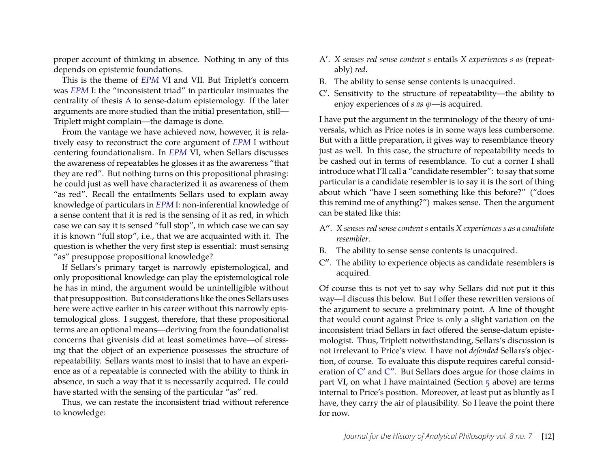proper account of thinking in absence. Nothing in any of this depends on epistemic foundations.

This is the theme of *[EPM](#page-16-0)* VI and VII. But Triplett's concern was *[EPM](#page-16-0)* I: the "inconsistent triad" in particular insinuates the centrality of thesis [A](#page-1-3) to sense-datum epistemology. If the later arguments are more studied than the initial presentation, still— Triplett might complain—the damage is done.

From the vantage we have achieved now, however, it is relatively easy to reconstruct the core argument of *[EPM](#page-16-0)* I without centering foundationalism. In *[EPM](#page-16-0)* VI, when Sellars discusses the awareness of repeatables he glosses it as the awareness "that they are red". But nothing turns on this propositional phrasing: he could just as well have characterized it as awareness of them "as red". Recall the entailments Sellars used to explain away knowledge of particulars in *[EPM](#page-16-0)* I: non-inferential knowledge of a sense content that it is red is the sensing of it as red, in which case we can say it is sensed "full stop", in which case we can say it is known "full stop", i.e., that we are acquainted with it. The question is whether the very first step is essential: must sensing "as" presuppose propositional knowledge?

If Sellars's primary target is narrowly epistemological, and only propositional knowledge can play the epistemological role he has in mind, the argument would be unintelligible without that presupposition. But considerations like the ones Sellars uses here were active earlier in his career without this narrowly epistemological gloss. I suggest, therefore, that these propositional terms are an optional means—deriving from the foundationalist concerns that givenists did at least sometimes have—of stressing that the object of an experience possesses the structure of repeatability. Sellars wants most to insist that to have an experience as of a repeatable is connected with the ability to think in absence, in such a way that it is necessarily acquired. He could have started with the sensing of the particular "as" red.

Thus, we can restate the inconsistent triad without reference to knowledge:

- A′ . *X senses red sense content s* entails *X experiences s as* (repeatably) *red*.
- B. The ability to sense sense contents is unacquired.
- C ′ . Sensitivity to the structure of repeatability—the ability to enjoy experiences of  $s$  *as*  $\varphi$ —is acquired.

I have put the argument in the terminology of the theory of universals, which as Price notes is in some ways less cumbersome. But with a little preparation, it gives way to resemblance theory just as well. In this case, the structure of repeatability needs to be cashed out in terms of resemblance. To cut a corner I shall introduce what I'll call a "candidate resembler": to say that some particular is a candidate resembler is to say it is the sort of thing about which "have I seen something like this before?" ("does this remind me of anything?") makes sense. Then the argument can be stated like this:

- A′′ . *X senses red sense content s* entails *X experiences s as a candidate resembler*.
- B. The ability to sense sense contents is unacquired.
- C ′′. The ability to experience objects as candidate resemblers is acquired.

Of course this is not yet to say why Sellars did not put it this way—I discuss this below. But I offer these rewritten versions of the argument to secure a preliminary point. A line of thought that would count against Price is only a slight variation on the inconsistent triad Sellars in fact offered the sense-datum epistemologist. Thus, Triplett notwithstanding, Sellars's discussion is not irrelevant to Price's view. I have not *defended* Sellars's objection, of course. To evaluate this dispute requires careful consid-eration of [C](#page-11-0)' and C". But Sellars does argue for those claims in part VI, on what I have maintained (Section [5](#page-8-0) above) are terms internal to Price's position. Moreover, at least put as bluntly as I have, they carry the air of plausibility. So I leave the point there for now.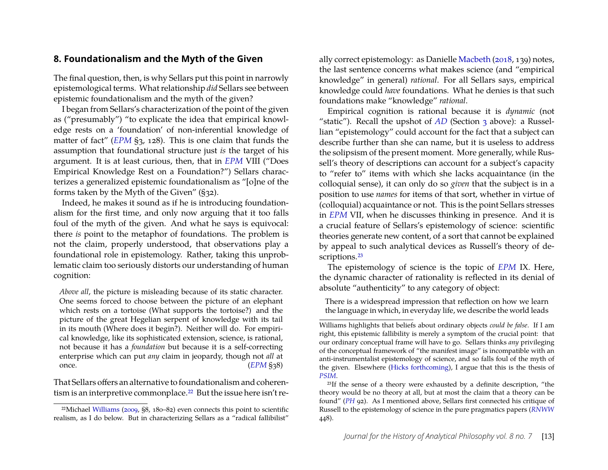#### **8. Foundationalism and the Myth of the Given**

The final question, then, is why Sellars put this point in narrowly epistemological terms. What relationship *did* Sellars see between epistemic foundationalism and the myth of the given?

I began from Sellars's characterization of the point of the given as ("presumably") "to explicate the idea that empirical knowledge rests on a 'foundation' of non-inferential knowledge of matter of fact" (*[EPM](#page-16-0)* §3, 128). This is one claim that funds the assumption that foundational structure just *is* the target of his argument. It is at least curious, then, that in *[EPM](#page-16-0)* VIII ("Does Empirical Knowledge Rest on a Foundation?") Sellars characterizes a generalized epistemic foundationalism as "[o]ne of the forms taken by the Myth of the Given" (§32).

Indeed, he makes it sound as if he is introducing foundationalism for the first time, and only now arguing that it too falls foul of the myth of the given. And what he says is equivocal: there *is* point to the metaphor of foundations. The problem is not the claim, properly understood, that observations play a foundational role in epistemology. Rather, taking this unproblematic claim too seriously distorts our understanding of human cognition:

*Above all*, the picture is misleading because of its static character. One seems forced to choose between the picture of an elephant which rests on a tortoise (What supports the tortoise?) and the picture of the great Hegelian serpent of knowledge with its tail in its mouth (Where does it begin?). Neither will do. For empirical knowledge, like its sophisticated extension, science, is rational, not because it has a *foundation* but because it is a self-correcting enterprise which can put *any* claim in jeopardy, though not *all* at once. (*[EPM](#page-16-0)* §38)

That Sellars offers an alternative to foundationalism and coheren-tism is an interpretive commonplace.<sup>[22](#page-13-0)</sup> But the issue here isn't really correct epistemology: as Danielle [Macbeth](#page-15-10) [\(2018,](#page-15-10) 139) notes, the last sentence concerns what makes science (and "empirical knowledge" in general) *rational*. For all Sellars says, empirical knowledge could *have* foundations. What he denies is that such foundations make "knowledge" *rational*.

Empirical cognition is rational because it is *dynamic* (not "static"). Recall the upshot of *[AD](#page-16-18)* (Section [3](#page-5-0) above): a Russellian "epistemology" could account for the fact that a subject can describe further than she can name, but it is useless to address the solipsism of the present moment. More generally, while Russell's theory of descriptions can account for a subject's capacity to "refer to" items with which she lacks acquaintance (in the colloquial sense), it can only do so *given* that the subject is in a position to use *names* for items of that sort, whether in virtue of (colloquial) acquaintance or not. This is the point Sellars stresses in *[EPM](#page-16-0)* VII, when he discusses thinking in presence. And it is a crucial feature of Sellars's epistemology of science: scientific theories generate new content, of a sort that cannot be explained by appeal to such analytical devices as Russell's theory of de-scriptions.<sup>[23](#page-13-1)</sup>

The epistemology of science is the topic of *[EPM](#page-16-0)* IX. Here, the dynamic character of rationality is reflected in its denial of absolute "authenticity" to any category of object:

There is a widespread impression that reflection on how we learn the language in which, in everyday life, we describe the world leads

<span id="page-13-0"></span><sup>22</sup>Michael [Williams](#page-16-8) [\(2009,](#page-16-8) §8, 180–82) even connects this point to scientific realism, as I do below. But in characterizing Sellars as a "radical fallibilist"

Williams highlights that beliefs about ordinary objects *could be false*. If I am right, this epistemic fallibility is merely a symptom of the crucial point: that our ordinary conceptual frame will have to go. Sellars thinks *any* privileging of the conceptual framework of "the manifest image" is incompatible with an anti-instrumentalist epistemology of science, and so falls foul of the myth of the given. Elsewhere [\(Hicks forthcoming\)](#page-15-11), I argue that this is the thesis of *[PSIM](#page-16-21)*.

<span id="page-13-1"></span><sup>23</sup>If the sense of a theory were exhausted by a definite description, "the theory would be no theory at all, but at most the claim that a theory can be found" (*[PH](#page-16-11)* 92). As I mentioned above, Sellars first connected his critique of Russell to the epistemology of science in the pure pragmatics papers (*[RNWW](#page-16-17)* 448).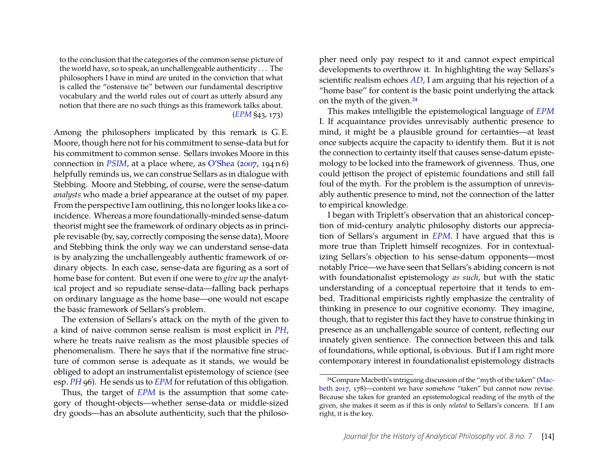to the conclusion that the categories of the common sense picture of the world have, so to speak, an unchallengeable authenticity . . . The philosophers I have in mind are united in the conviction that what is called the "ostensive tie" between our fundamental descriptive vocabulary and the world rules out of court as utterly absurd any notion that there are no such things as this framework talks about. (*[EPM](#page-16-0)* §43, 173)

Among the philosophers implicated by this remark is G. E. Moore, though here not for his commitment to sense-data but for his commitment to common sense. Sellars invokes Moore in this connection in *[PSIM](#page-16-21)*, at a place where, as [O'Shea](#page-15-1) [\(2007,](#page-15-1) 194 n 6) helpfully reminds us, we can construe Sellars as in dialogue with Stebbing. Moore and Stebbing, of course, were the sense-datum *analysts* who made a brief appearance at the outset of my paper. From the perspective I am outlining, this no longer looks like a coincidence. Whereas a more foundationally-minded sense-datum theorist might see the framework of ordinary objects as in principle revisable (by, say, correctly composing the sense data), Moore and Stebbing think the only way we can understand sense-data is by analyzing the unchallengeably authentic framework of ordinary objects. In each case, sense-data are figuring as a sort of home base for content. But even if one were to *give up* the analytical project and so repudiate sense-data—falling back perhaps on ordinary language as the home base—one would not escape the basic framework of Sellars's problem.

The extension of Sellars's attack on the myth of the given to a kind of naive common sense realism is most explicit in *[PH](#page-16-11)*, where he treats naive realism as the most plausible species of phenomenalism. There he says that if the normative fine structure of common sense is adequate as it stands, we would be obliged to adopt an instrumentalist epistemology of science (see esp. *[PH](#page-16-11)* 96). He sends us to *[EPM](#page-16-0)* for refutation of this obligation.

Thus, the target of *[EPM](#page-16-0)* is the assumption that some category of thought-objects—whether sense-data or middle-sized dry goods—has an absolute authenticity, such that the philosopher need only pay respect to it and cannot expect empirical developments to overthrow it. In highlighting the way Sellars's scientific realism echoes *[AD](#page-16-18)*, I am arguing that his rejection of a "home base" for content is the basic point underlying the attack on the myth of the given.<sup>[24](#page-14-0)</sup>

This makes intelligible the epistemological language of *[EPM](#page-16-0)* I. If acquaintance provides unrevisably authentic presence to mind, it might be a plausible ground for certainties—at least once subjects acquire the capacity to identify them. But it is not the connection to certainty itself that causes sense-datum epistemology to be locked into the framework of givenness. Thus, one could jettison the project of epistemic foundations and still fall foul of the myth. For the problem is the assumption of unrevisably authentic presence to mind, not the connection of the latter to empirical knowledge.

I began with Triplett's observation that an ahistorical conception of mid-century analytic philosophy distorts our appreciation of Sellars's argument in *[EPM](#page-16-0)*. I have argued that this is more true than Triplett himself recognizes. For in contextualizing Sellars's objection to his sense-datum opponents—most notably Price—we have seen that Sellars's abiding concern is not with foundationalist epistemology *as such*, but with the static understanding of a conceptual repertoire that it tends to embed. Traditional empiricists rightly emphasize the centrality of thinking in presence to our cognitive economy. They imagine, though, that to register this fact they have to construe thinking in presence as an unchallengable source of content, reflecting our innately given sentience. The connection between this and talk of foundations, while optional, is obvious. But if I am right more contemporary interest in foundationalist epistemology distracts

<span id="page-14-0"></span><sup>24</sup>Compare Macbeth's intriguing discussion of the "myth of the taken" [\(Mac](#page-15-12)[beth 2017,](#page-15-12) 178)—content we have somehow "taken" but cannot now revise. Because she takes for granted an epistemological reading of the myth of the given, she makes it seem as if this is only *related* to Sellars's concern. If I am right, it is the key.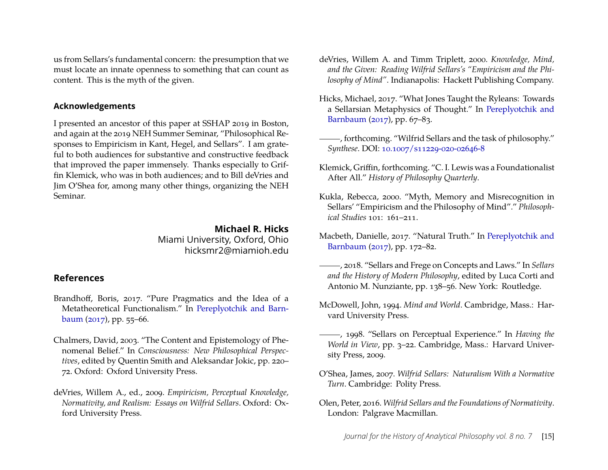us from Sellars's fundamental concern: the presumption that we must locate an innate openness to something that can count as content. This is the myth of the given.

#### **Acknowledgements**

I presented an ancestor of this paper at SSHAP 2019 in Boston, and again at the 2019 NEH Summer Seminar, "Philosophical Responses to Empiricism in Kant, Hegel, and Sellars". I am grateful to both audiences for substantive and constructive feedback that improved the paper immensely. Thanks especially to Griffin Klemick, who was in both audiences; and to Bill deVries and Jim O'Shea for, among many other things, organizing the NEH Seminar.

> **Michael R. Hicks** Miami University, Oxford, Ohio hicksmr2@miamioh.edu

#### **References**

- <span id="page-15-7"></span>Brandhoff, Boris, 2017. "Pure Pragmatics and the Idea of a Metatheoretical Functionalism." In [Pereplyotchik and Barn](#page-16-22)[baum](#page-16-22) [\(2017\)](#page-16-22), pp. 55–66.
- <span id="page-15-9"></span>Chalmers, David, 2003. "The Content and Epistemology of Phenomenal Belief." In *Consciousness: New Philosophical Perspectives*, edited by Quentin Smith and Aleksandar Jokic, pp. 220– 72. Oxford: Oxford University Press.
- <span id="page-15-13"></span>deVries, Willem A., ed., 2009. *Empiricism, Perceptual Knowledge, Normativity, and Realism: Essays on Wilfrid Sellars*. Oxford: Oxford University Press.
- <span id="page-15-0"></span>deVries, Willem A. and Timm Triplett, 2000. *Knowledge, Mind, and the Given: Reading Wilfrid Sellars's "Empiricism and the Philosophy of Mind"*. Indianapolis: Hackett Publishing Company.
- <span id="page-15-6"></span>Hicks, Michael, 2017. "What Jones Taught the Ryleans: Towards a Sellarsian Metaphysics of Thought." In [Pereplyotchik and](#page-16-22) [Barnbaum](#page-16-22) [\(2017\)](#page-16-22), pp. 67–83.
- <span id="page-15-11"></span>, forthcoming. "Wilfrid Sellars and the task of philosophy." *Synthese*. DOI: [10.1007/s11229-020-02646-8](http://doi.org/10.1007/s11229-020-02646-8)
- <span id="page-15-2"></span>Klemick, Griffin, forthcoming. "C. I. Lewis was a Foundationalist After All." *History of Philosophy Quarterly*.
- <span id="page-15-5"></span>Kukla, Rebecca, 2000. "Myth, Memory and Misrecognition in Sellars' "Empiricism and the Philosophy of Mind"." *Philosophical Studies* 101: 161–211.
- <span id="page-15-12"></span>Macbeth, Danielle, 2017. "Natural Truth." In [Pereplyotchik and](#page-16-22) [Barnbaum](#page-16-22) [\(2017\)](#page-16-22), pp. 172–82.
- <span id="page-15-10"></span>, 2018. "Sellars and Frege on Concepts and Laws." In *Sellars and the History of Modern Philosophy*, edited by Luca Corti and Antonio M. Nunziante, pp. 138–56. New York: Routledge.
- <span id="page-15-8"></span>McDowell, John, 1994. *Mind and World*. Cambridge, Mass.: Harvard University Press.
- <span id="page-15-4"></span>, 1998. "Sellars on Perceptual Experience." In *Having the World in View*, pp. 3–22. Cambridge, Mass.: Harvard University Press, 2009.
- <span id="page-15-1"></span>O'Shea, James, 2007. *Wilfrid Sellars: Naturalism With a Normative Turn*. Cambridge: Polity Press.
- <span id="page-15-3"></span>Olen, Peter, 2016. *Wilfrid Sellars and the Foundations of Normativity*. London: Palgrave Macmillan.